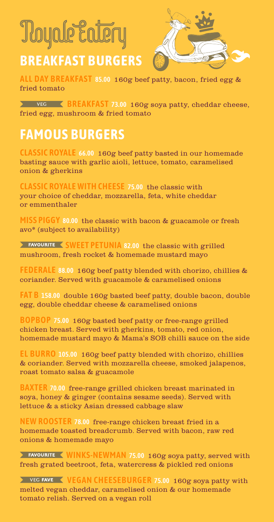# **Toyale Eatery**

## **BREAKFAST BURGERS**



**ALL DAY BREAKFAST 85.00** 160g beef patty, bacon, fried egg & fried tomato

 **BREAKFAST 73.00** 160g soya patty, cheddar cheese, fried egg, mushroom & fried tomato

## **FAMOUS BURGERS**

**CLASSIC ROYALE 66.00** 160g beef patty basted in our homemade basting sauce with garlic aioli, lettuce, tomato, caramelised onion & gherkins

**CLASSIC ROYALE WITH CHEESE 75.00** the classic with your choice of cheddar, mozzarella, feta, white cheddar or emmenthaler

**MISS PIGGY 80.00** the classic with bacon & guacamole or fresh avo\* (subject to availability)

**FAVOURITE <SWEET PETUNIA** 82.00 the classic with grilled mushroom, fresh rocket & homemade mustard mayo

**FEDERALE 88.00** 160g beef patty blended with chorizo, chillies & coriander. Served with guacamole & caramelised onions

**FAT B 158.00** double 160g basted beef patty, double bacon, double egg, double cheddar cheese & caramelised onions

**BOPBOP 75.00** 160g basted beef patty or free-range grilled chicken breast. Served with gherkins, tomato, red onion, homemade mustard mayo & Mama's SOB chilli sauce on the side

**EL BURRO 105.00** 160g beef patty blended with chorizo, chillies & coriander. Served with mozzarella cheese, smoked jalapenos, roast tomato salsa & guacamole

**BAXTER 70.00** free-range grilled chicken breast marinated in soya, honey & ginger (contains sesame seeds). Served with lettuce & a sticky Asian dressed cabbage slaw

**NEW ROOSTER 78.00** free-range chicken breast fried in a homemade toasted breadcrumb. Served with bacon, raw red onions & homemade mayo

**EXECUTER WINKS-NEWMAN 75.00 160g soya patty, served with** fresh grated beetroot, feta, watercress & pickled red onions

**YEG FAVE VEGAN CHEESEBURGER 75.00 160g soya patty with** melted vegan cheddar, caramelised onion & our homemade tomato relish. Served on a vegan roll